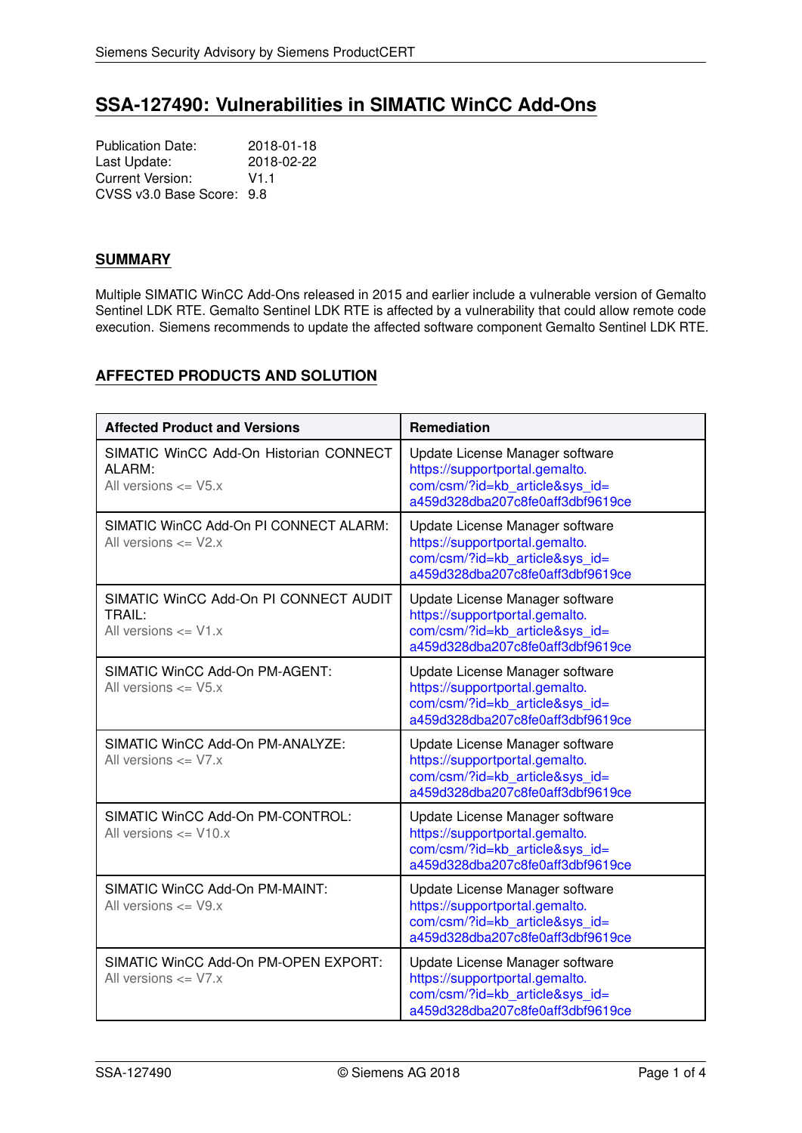# **SSA-127490: Vulnerabilities in SIMATIC WinCC Add-Ons**

Publication Date: 2018-01-18 Last Update: 2018-02-22 Current Version: V1.1 CVSS v3.0 Base Score: 9.8

## **SUMMARY**

Multiple SIMATIC WinCC Add-Ons released in 2015 and earlier include a vulnerable version of Gemalto Sentinel LDK RTE. Gemalto Sentinel LDK RTE is affected by a vulnerability that could allow remote code execution. Siemens recommends to update the affected software component Gemalto Sentinel LDK RTE.

# **AFFECTED PRODUCTS AND SOLUTION**

| <b>Affected Product and Versions</b>                                         | Remediation                                                                                                                             |
|------------------------------------------------------------------------------|-----------------------------------------------------------------------------------------------------------------------------------------|
| SIMATIC WinCC Add-On Historian CONNECT<br>ALARM:<br>All versions $\leq$ V5.x | Update License Manager software<br>https://supportportal.gemalto.<br>com/csm/?id=kb article&sys id=<br>a459d328dba207c8fe0aff3dbf9619ce |
| SIMATIC WinCC Add-On PI CONNECT ALARM:<br>All versions $\leq$ V2.x           | Update License Manager software<br>https://supportportal.gemalto.<br>com/csm/?id=kb article&sys id=<br>a459d328dba207c8fe0aff3dbf9619ce |
| SIMATIC WinCC Add-On PI CONNECT AUDIT<br>TRAIL:<br>All versions $\leq$ V1.x  | Update License Manager software<br>https://supportportal.gemalto.<br>com/csm/?id=kb article&sys id=<br>a459d328dba207c8fe0aff3dbf9619ce |
| SIMATIC WinCC Add-On PM-AGENT:<br>All versions $\leq$ V5.x                   | Update License Manager software<br>https://supportportal.gemalto.<br>com/csm/?id=kb article&sys id=<br>a459d328dba207c8fe0aff3dbf9619ce |
| SIMATIC WinCC Add-On PM-ANALYZE:<br>All versions $\leq$ V7.x                 | Update License Manager software<br>https://supportportal.gemalto.<br>com/csm/?id=kb article&sys id=<br>a459d328dba207c8fe0aff3dbf9619ce |
| SIMATIC WinCC Add-On PM-CONTROL:<br>All versions $\leq$ V10. $x$             | Update License Manager software<br>https://supportportal.gemalto.<br>com/csm/?id=kb article&sys id=<br>a459d328dba207c8fe0aff3dbf9619ce |
| SIMATIC WinCC Add-On PM-MAINT:<br>All versions $\leq$ V9.x                   | Update License Manager software<br>https://supportportal.gemalto.<br>com/csm/?id=kb_article&sys_id=<br>a459d328dba207c8fe0aff3dbf9619ce |
| SIMATIC WinCC Add-On PM-OPEN EXPORT:<br>All versions $\leq$ V7.x             | Update License Manager software<br>https://supportportal.gemalto.<br>com/csm/?id=kb article&sys id=<br>a459d328dba207c8fe0aff3dbf9619ce |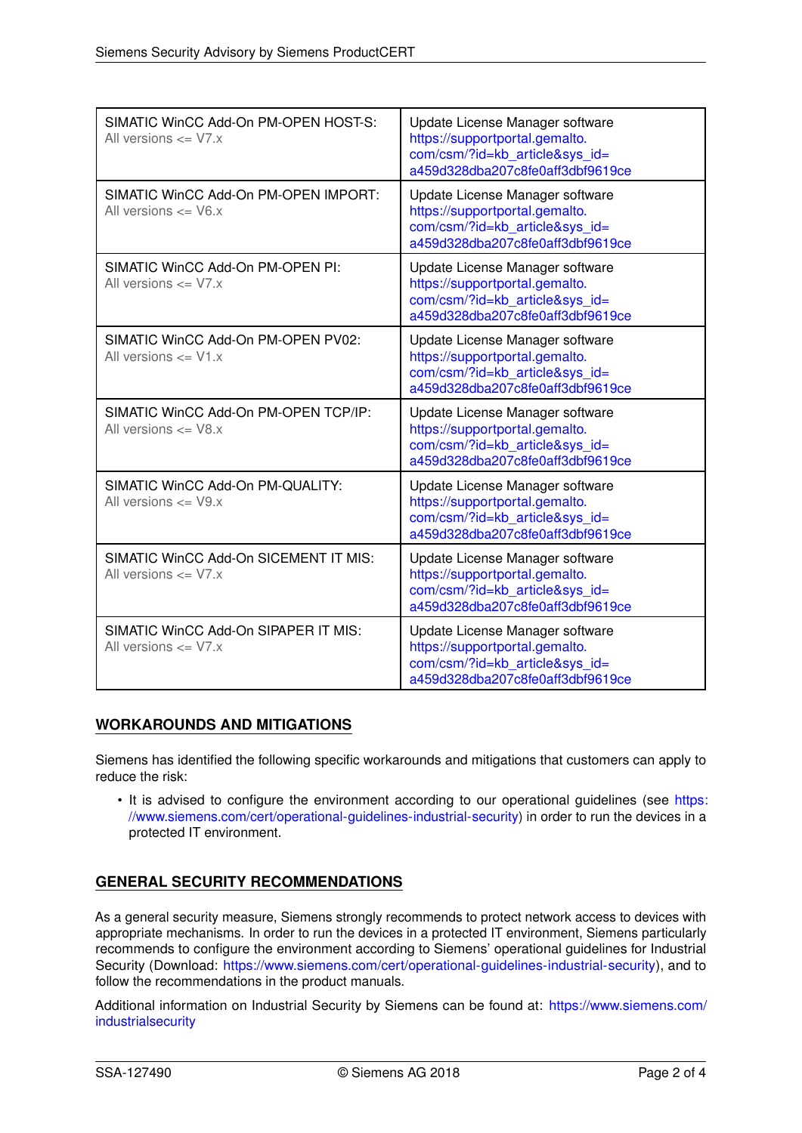| SIMATIC WinCC Add-On PM-OPEN HOST-S:<br>All versions $\leq$ V7.x  | Update License Manager software<br>https://supportportal.gemalto.<br>com/csm/?id=kb article&sys id=<br>a459d328dba207c8fe0aff3dbf9619ce |
|-------------------------------------------------------------------|-----------------------------------------------------------------------------------------------------------------------------------------|
| SIMATIC WinCC Add-On PM-OPEN IMPORT:<br>All versions $\leq$ V6.x  | Update License Manager software<br>https://supportportal.gemalto.<br>com/csm/?id=kb_article&sys_id=<br>a459d328dba207c8fe0aff3dbf9619ce |
| SIMATIC WinCC Add-On PM-OPEN PI:<br>All versions $\leq$ V7.x      | Update License Manager software<br>https://supportportal.gemalto.<br>com/csm/?id=kb article&sys id=<br>a459d328dba207c8fe0aff3dbf9619ce |
| SIMATIC WinCC Add-On PM-OPEN PV02:<br>All versions $\leq$ V1.x    | Update License Manager software<br>https://supportportal.gemalto.<br>com/csm/?id=kb_article&sys_id=<br>a459d328dba207c8fe0aff3dbf9619ce |
| SIMATIC WinCC Add-On PM-OPEN TCP/IP:<br>All versions $\leq$ V8.x  | Update License Manager software<br>https://supportportal.gemalto.<br>com/csm/?id=kb article&sys id=<br>a459d328dba207c8fe0aff3dbf9619ce |
| SIMATIC WinCC Add-On PM-QUALITY:<br>All versions $\leq$ V9.x      | Update License Manager software<br>https://supportportal.gemalto.<br>com/csm/?id=kb article&sys id=<br>a459d328dba207c8fe0aff3dbf9619ce |
| SIMATIC WinCC Add-On SICEMENT IT MIS:<br>All versions $\leq$ V7.x | Update License Manager software<br>https://supportportal.gemalto.<br>com/csm/?id=kb_article&sys_id=<br>a459d328dba207c8fe0aff3dbf9619ce |
| SIMATIC WinCC Add-On SIPAPER IT MIS:<br>All versions $\leq$ V7.x  | Update License Manager software<br>https://supportportal.gemalto.<br>com/csm/?id=kb article&sys id=<br>a459d328dba207c8fe0aff3dbf9619ce |

## **WORKAROUNDS AND MITIGATIONS**

Siemens has identified the following specific workarounds and mitigations that customers can apply to reduce the risk:

• It is advised to configure the environment according to our operational guidelines (see [https:](https://www.siemens.com/cert/operational-guidelines-industrial-security) [//www.siemens.com/cert/operational-guidelines-industrial-security\)](https://www.siemens.com/cert/operational-guidelines-industrial-security) in order to run the devices in a protected IT environment.

# **GENERAL SECURITY RECOMMENDATIONS**

As a general security measure, Siemens strongly recommends to protect network access to devices with appropriate mechanisms. In order to run the devices in a protected IT environment, Siemens particularly recommends to configure the environment according to Siemens' operational guidelines for Industrial Security (Download: [https://www.siemens.com/cert/operational-guidelines-industrial-security\)](https://www.siemens.com/cert/operational-guidelines-industrial-security), and to follow the recommendations in the product manuals.

Additional information on Industrial Security by Siemens can be found at: [https://www.siemens.com/](https://www.siemens.com/industrialsecurity) [industrialsecurity](https://www.siemens.com/industrialsecurity)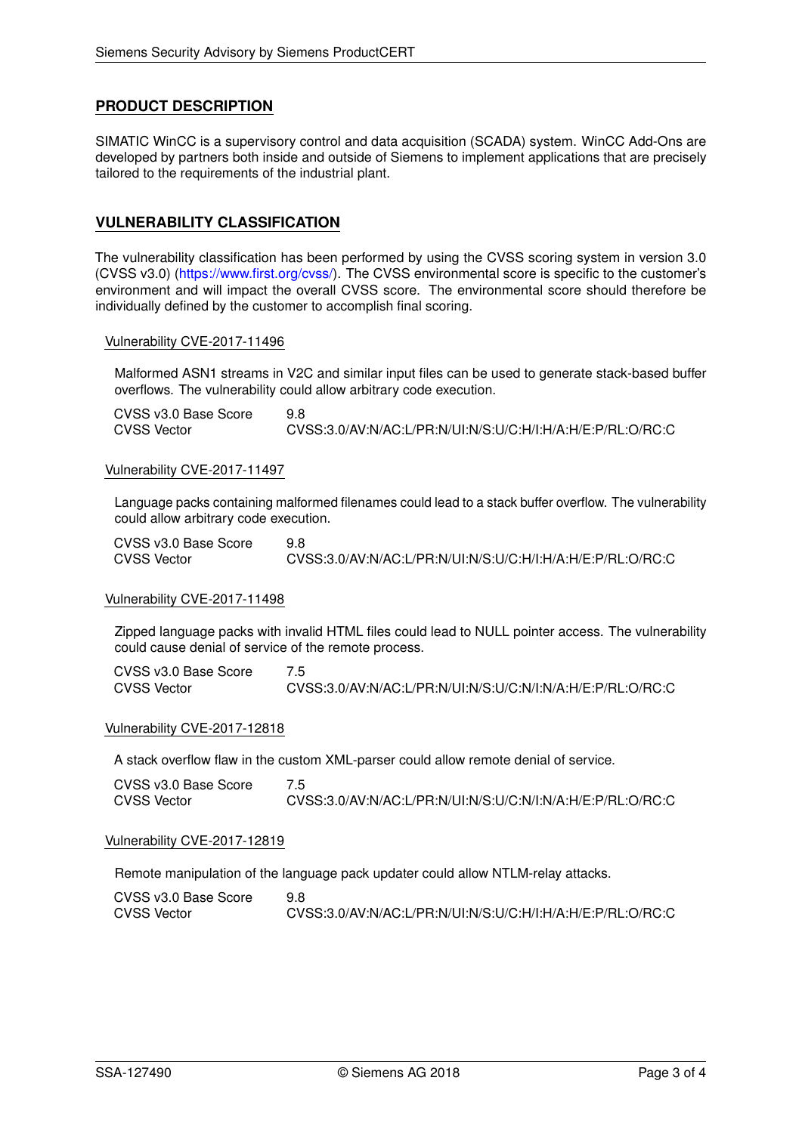### **PRODUCT DESCRIPTION**

SIMATIC WinCC is a supervisory control and data acquisition (SCADA) system. WinCC Add-Ons are developed by partners both inside and outside of Siemens to implement applications that are precisely tailored to the requirements of the industrial plant.

### **VULNERABILITY CLASSIFICATION**

The vulnerability classification has been performed by using the CVSS scoring system in version 3.0 (CVSS v3.0) [\(https://www.first.org/cvss/\)](https://www.first.org/cvss/). The CVSS environmental score is specific to the customer's environment and will impact the overall CVSS score. The environmental score should therefore be individually defined by the customer to accomplish final scoring.

#### Vulnerability CVE-2017-11496

Malformed ASN1 streams in V2C and similar input files can be used to generate stack-based buffer overflows. The vulnerability could allow arbitrary code execution.

| CVSS v3.0 Base Score |                                                            |
|----------------------|------------------------------------------------------------|
| <b>CVSS Vector</b>   | CVSS:3.0/AV:N/AC:L/PR:N/UI:N/S:U/C:H/I:H/A:H/E:P/RL:O/RC:C |

#### Vulnerability CVE-2017-11497

Language packs containing malformed filenames could lead to a stack buffer overflow. The vulnerability could allow arbitrary code execution.

| CVSS v3.0 Base Score | 9.8                                                        |
|----------------------|------------------------------------------------------------|
| <b>CVSS Vector</b>   | CVSS:3.0/AV:N/AC:L/PR:N/UI:N/S:U/C:H/I:H/A:H/E:P/RL:O/RC:C |

#### Vulnerability CVE-2017-11498

Zipped language packs with invalid HTML files could lead to NULL pointer access. The vulnerability could cause denial of service of the remote process.

| CVSS v3.0 Base Score |                                                            |
|----------------------|------------------------------------------------------------|
| <b>CVSS Vector</b>   | CVSS:3.0/AV:N/AC:L/PR:N/UI:N/S:U/C:N/I:N/A:H/E:P/RL:O/RC:C |

#### Vulnerability CVE-2017-12818

A stack overflow flaw in the custom XML-parser could allow remote denial of service.

| CVSS v3.0 Base Score |                                                            |
|----------------------|------------------------------------------------------------|
| <b>CVSS Vector</b>   | CVSS:3.0/AV:N/AC:L/PR:N/UI:N/S:U/C:N/I:N/A:H/E:P/RL:O/RC:C |

#### Vulnerability CVE-2017-12819

Remote manipulation of the language pack updater could allow NTLM-relay attacks.

| CVSS v3.0 Base Score | 9.8                                                        |
|----------------------|------------------------------------------------------------|
| <b>CVSS Vector</b>   | CVSS:3.0/AV:N/AC:L/PR:N/UI:N/S:U/C:H/I:H/A:H/E:P/RL:O/RC:C |